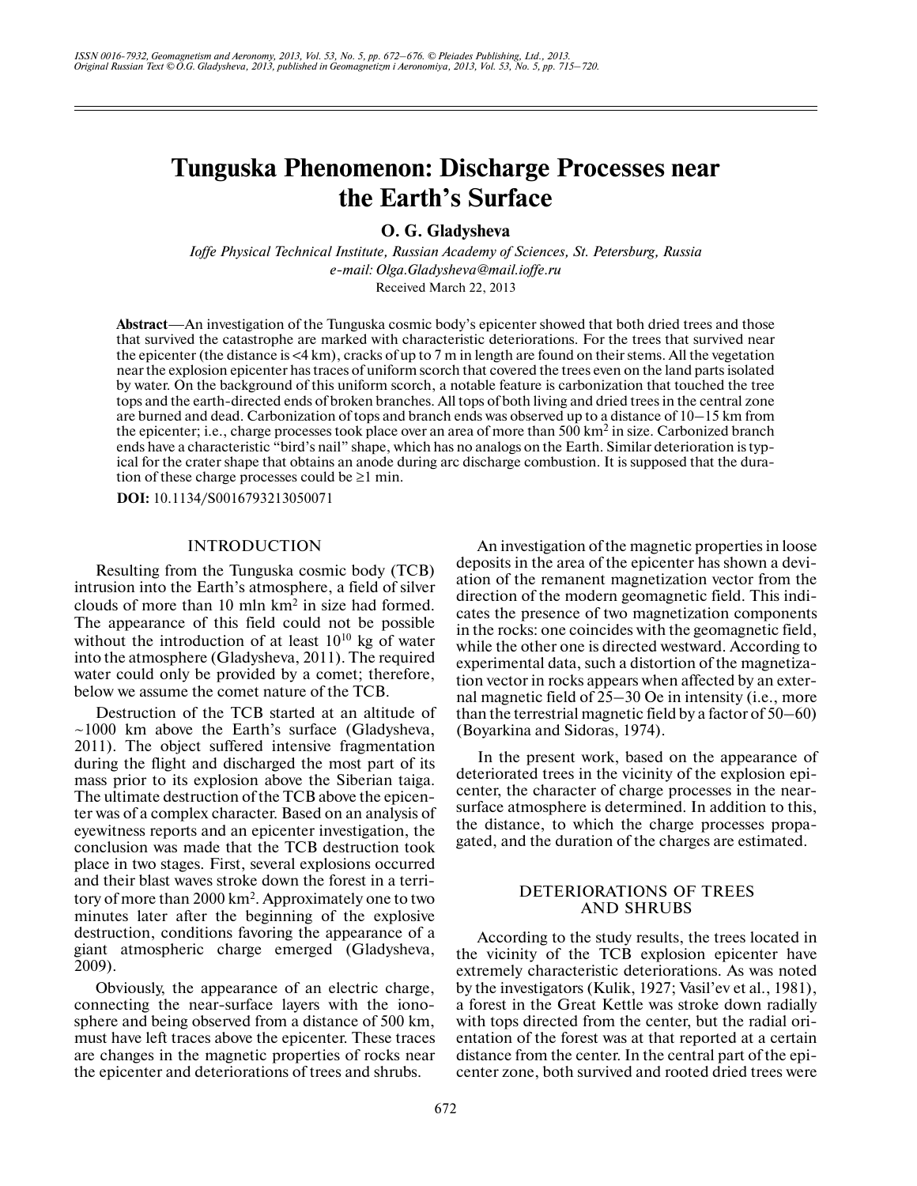# **Tunguska Phenomenon: Discharge Processes near the Earth's Surface**

**O. G. Gladysheva**

*Ioffe Physical Technical Institute, Russian Academy of Sciences, St. Petersburg, Russia e-mail: Olga.Gladysheva@mail.ioffe.ru* Received March 22, 2013

**Abstract**—An investigation of the Tunguska cosmic body's epicenter showed that both dried trees and those that survived the catastrophe are marked with characteristic deteriorations. For the trees that survived near the epicenter (the distance is  $\leq 4$  km), cracks of up to 7 m in length are found on their stems. All the vegetation near the explosion epicenter has traces of uniform scorch that covered the trees even on the land parts isolated by water. On the background of this uniform scorch, a notable feature is carbonization that touched the tree tops and the earth-directed ends of broken branches. All tops of both living and dried trees in the central zone are burned and dead. Carbonization of tops and branch ends was observed up to a distance of 10–15 km from the epicenter; i.e., charge processes took place over an area of more than 500 km<sup>2</sup> in size. Carbonized branch ends have a characteristic "bird's nail" shape, which has no analogs on the Earth. Similar deterioration is typ ical for the crater shape that obtains an anode during arc discharge combustion. It is supposed that the dura tion of these charge processes could be  $\geq 1$  min.

**DOI:** 10.1134/S0016793213050071

## INTRODUCTION

Resulting from the Tunguska cosmic body (TCB) intrusion into the Earth's atmosphere, a field of silver clouds of more than  $10 \text{ min km}^2$  in size had formed. The appearance of this field could not be possible without the introduction of at least  $10^{10}$  kg of water into the atmosphere (Gladysheva, 2011). The required water could only be provided by a comet; therefore, below we assume the comet nature of the TCB.

Destruction of the TCB started at an altitude of  $\sim$ 1000 km above the Earth's surface (Gladysheva, 2011). The object suffered intensive fragmentation during the flight and discharged the most part of its mass prior to its explosion above the Siberian taiga. The ultimate destruction of the TCB above the epicen ter was of a complex character. Based on an analysis of eyewitness reports and an epicenter investigation, the conclusion was made that the TCB destruction took place in two stages. First, several explosions occurred and their blast waves stroke down the forest in a terri tory of more than 2000 km<sup>2</sup>. Approximately one to two minutes later after the beginning of the explosive destruction, conditions favoring the appearance of a giant atmospheric charge emerged (Gladysheva, 2009).

Obviously, the appearance of an electric charge, connecting the near-surface layers with the iono sphere and being observed from a distance of 500 km, must have left traces above the epicenter. These traces are changes in the magnetic properties of rocks near the epicenter and deteriorations of trees and shrubs.

An investigation of the magnetic properties in loose deposits in the area of the epicenter has shown a devi ation of the remanent magnetization vector from the direction of the modern geomagnetic field. This indi cates the presence of two magnetization components in the rocks: one coincides with the geomagnetic field, while the other one is directed westward. According to experimental data, such a distortion of the magnetiza tion vector in rocks appears when affected by an exter nal magnetic field of 25–30 Oe in intensity (i.e., more than the terrestrial magnetic field by a factor of 50–60) (Boyarkina and Sidoras, 1974).

In the present work, based on the appearance of deteriorated trees in the vicinity of the explosion epi center, the character of charge processes in the near surface atmosphere is determined. In addition to this, the distance, to which the charge processes propa gated, and the duration of the charges are estimated.

# DETERIORATIONS OF TREES AND SHRUBS

According to the study results, the trees located in the vicinity of the TCB explosion epicenter have extremely characteristic deteriorations. As was noted by the investigators (Kulik, 1927; Vasil'ev et al., 1981), a forest in the Great Kettle was stroke down radially with tops directed from the center, but the radial ori entation of the forest was at that reported at a certain distance from the center. In the central part of the epi center zone, both survived and rooted dried trees were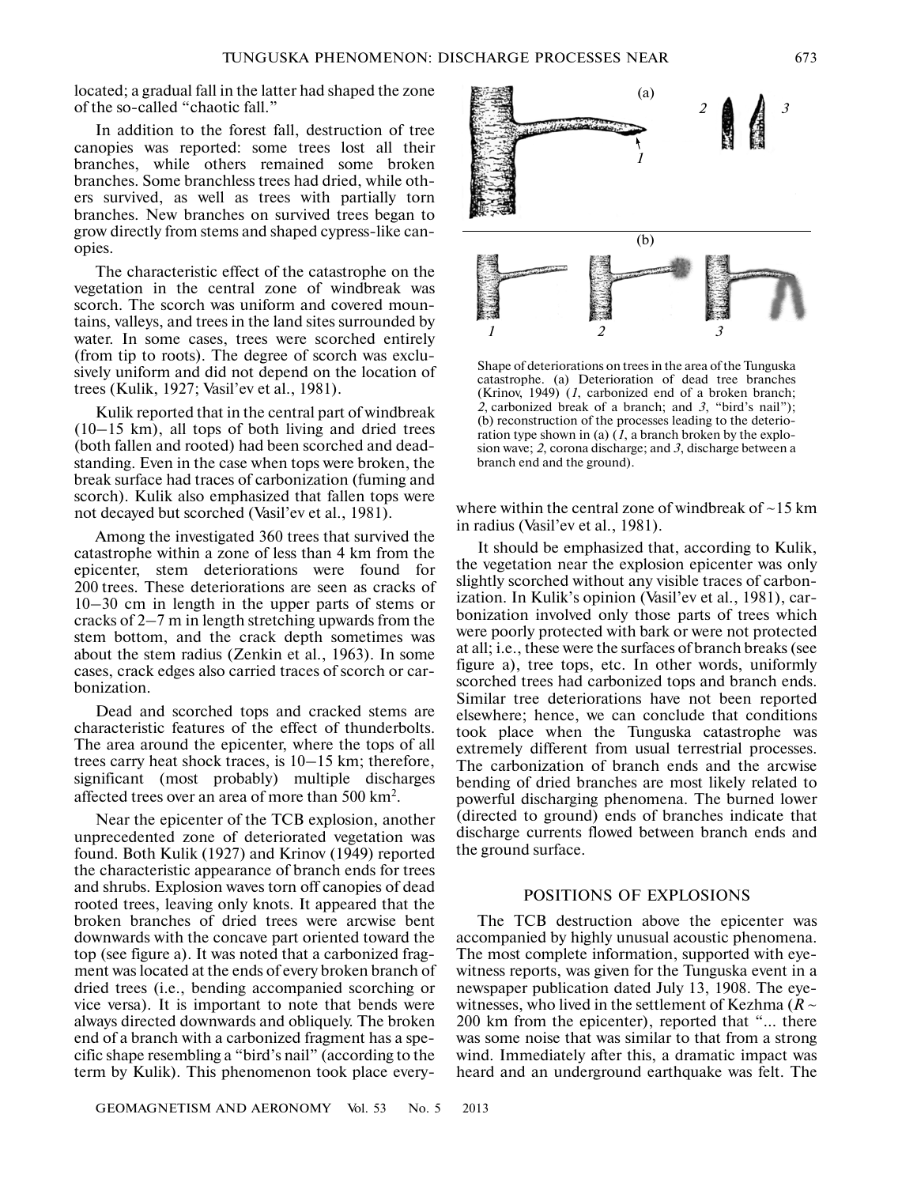located; a gradual fall in the latter had shaped the zone of the so-called "chaotic fall."

In addition to the forest fall, destruction of tree canopies was reported: some trees lost all their branches, while others remained some broken branches. Some branchless trees had dried, while oth ers survived, as well as trees with partially torn branches. New branches on survived trees began to grow directly from stems and shaped cypress-like can opies.

The characteristic effect of the catastrophe on the vegetation in the central zone of windbreak was scorch. The scorch was uniform and covered moun tains, valleys, and trees in the land sites surrounded by water. In some cases, trees were scorched entirely (from tip to roots). The degree of scorch was exclu sively uniform and did not depend on the location of trees (Kulik, 1927; Vasil'ev et al., 1981).

Kulik reported that in the central part of windbreak  $(10-15 \text{ km})$ , all tops of both living and dried trees (both fallen and rooted) had been scorched and dead standing. Even in the case when tops were broken, the break surface had traces of carbonization (fuming and scorch). Kulik also emphasized that fallen tops were not decayed but scorched (Vasil'ev et al., 1981).

Among the investigated 360 trees that survived the catastrophe within a zone of less than 4 km from the epicenter, stem deteriorations were found for 200 trees. These deteriorations are seen as cracks of 10–30 cm in length in the upper parts of stems or cracks of 2–7 m in length stretching upwards from the stem bottom, and the crack depth sometimes was about the stem radius (Zenkin et al., 1963). In some cases, crack edges also carried traces of scorch or car bonization.

Dead and scorched tops and cracked stems are characteristic features of the effect of thunderbolts. The area around the epicenter, where the tops of all trees carry heat shock traces, is 10–15 km; therefore, significant (most probably) multiple discharges affected trees over an area of more than 500 km<sup>2</sup>.

Near the epicenter of the TCB explosion, another unprecedented zone of deteriorated vegetation was found. Both Kulik (1927) and Krinov (1949) reported the characteristic appearance of branch ends for trees and shrubs. Explosion waves torn off canopies of dead rooted trees, leaving only knots. It appeared that the broken branches of dried trees were arcwise bent downwards with the concave part oriented toward the top (see figure a). It was noted that a carbonized frag ment was located at the ends of every broken branch of dried trees (i.e., bending accompanied scorching or vice versa). It is important to note that bends were always directed downwards and obliquely. The broken end of a branch with a carbonized fragment has a spe cific shape resembling a "bird's nail" (according to the term by Kulik). This phenomenon took place every-



Shape of deteriorations on trees in the area of the Tunguska catastrophe. (a) Deterioration of dead tree branches (Krinov, 1949) (*1*, carbonized end of a broken branch; *2*, carbonized break of a branch; and *3*, "bird's nail"); (b) reconstruction of the processes leading to the deterio ration type shown in (a) (*1*, a branch broken by the explo sion wave; *2*, corona discharge; and *3*, discharge between a branch end and the ground).

where within the central zone of windbreak of  $\sim$ 15 km in radius (Vasil'ev et al., 1981).

It should be emphasized that, according to Kulik, the vegetation near the explosion epicenter was only slightly scorched without any visible traces of carbon ization. In Kulik's opinion (Vasil'ev et al., 1981), car bonization involved only those parts of trees which were poorly protected with bark or were not protected at all; i.e., these were the surfaces of branch breaks (see figure a), tree tops, etc. In other words, uniformly scorched trees had carbonized tops and branch ends. Similar tree deteriorations have not been reported elsewhere; hence, we can conclude that conditions took place when the Tunguska catastrophe was extremely different from usual terrestrial processes. The carbonization of branch ends and the arcwise bending of dried branches are most likely related to powerful discharging phenomena. The burned lower (directed to ground) ends of branches indicate that discharge currents flowed between branch ends and the ground surface.

# POSITIONS OF EXPLOSIONS

The TCB destruction above the epicenter was accompanied by highly unusual acoustic phenomena. The most complete information, supported with eye witness reports, was given for the Tunguska event in a newspaper publication dated July 13, 1908. The eye witnesses, who lived in the settlement of Kezhma ( $R \sim$ 200 km from the epicenter), reported that "… there was some noise that was similar to that from a strong wind. Immediately after this, a dramatic impact was heard and an underground earthquake was felt. The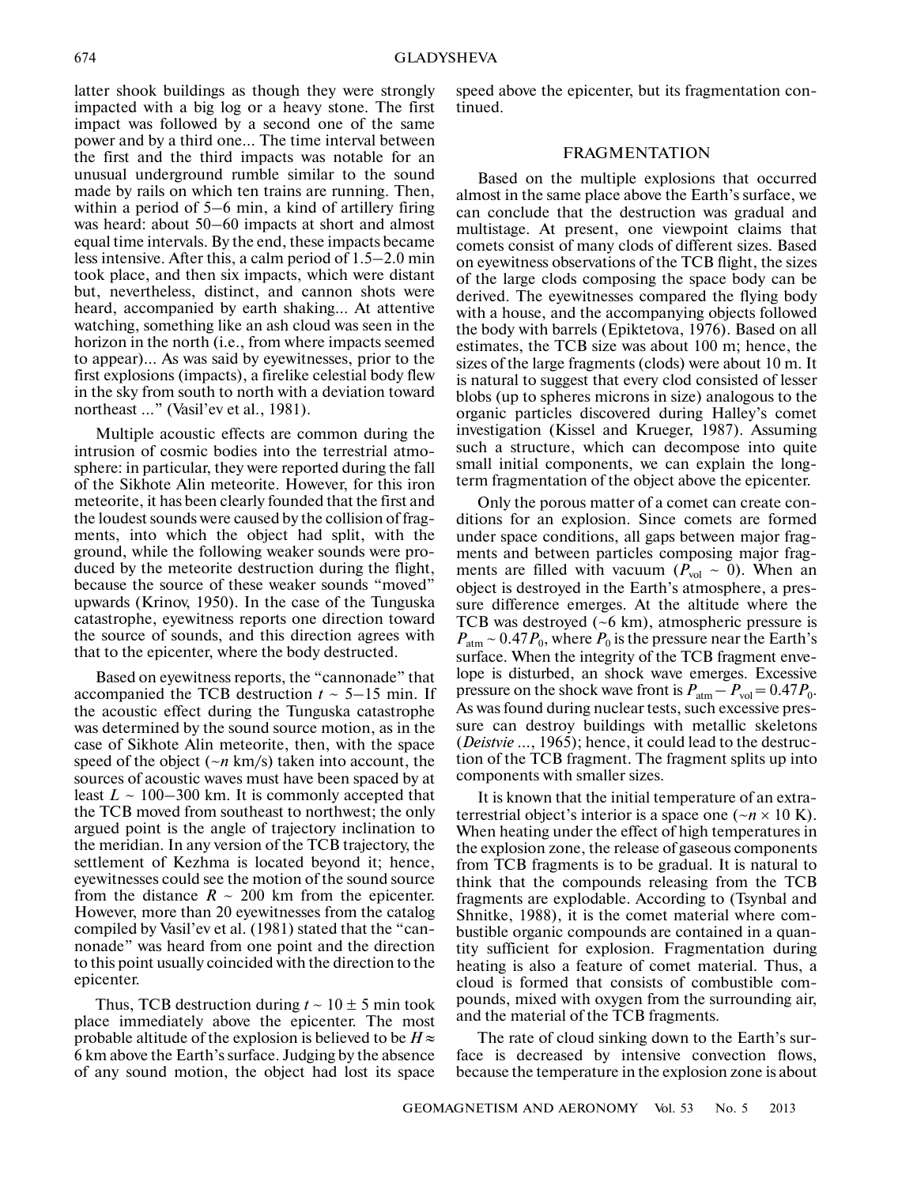latter shook buildings as though they were strongly impacted with a big log or a heavy stone. The first impact was followed by a second one of the same power and by a third one… The time interval between the first and the third impacts was notable for an unusual underground rumble similar to the sound made by rails on which ten trains are running. Then, within a period of 5–6 min, a kind of artillery firing was heard: about 50–60 impacts at short and almost equal time intervals. By the end, these impacts became less intensive. After this, a calm period of 1.5–2.0 min took place, and then six impacts, which were distant but, nevertheless, distinct, and cannon shots were heard, accompanied by earth shaking… At attentive watching, something like an ash cloud was seen in the horizon in the north (i.e., from where impacts seemed to appear)… As was said by eyewitnesses, prior to the first explosions (impacts), a firelike celestial body flew in the sky from south to north with a deviation toward northeast …" (Vasil'ev et al., 1981).

Multiple acoustic effects are common during the intrusion of cosmic bodies into the terrestrial atmo sphere: in particular, they were reported during the fall of the Sikhote Alin meteorite. However, for this iron meteorite, it has been clearly founded that the first and the loudest sounds were caused by the collision of frag ments, into which the object had split, with the ground, while the following weaker sounds were pro duced by the meteorite destruction during the flight, because the source of these weaker sounds "moved" upwards (Krinov, 1950). In the case of the Tunguska catastrophe, eyewitness reports one direction toward the source of sounds, and this direction agrees with that to the epicenter, where the body destructed.

Based on eyewitness reports, the "cannonade" that accompanied the TCB destruction  $t \sim 5{\text -}15$  min. If the acoustic effect during the Tunguska catastrophe was determined by the sound source motion, as in the case of Sikhote Alin meteorite, then, with the space speed of the object (~*n* km/s) taken into account, the sources of acoustic waves must have been spaced by at least  $L \sim 100-300$  km. It is commonly accepted that the TCB moved from southeast to northwest; the only argued point is the angle of trajectory inclination to the meridian. In any version of the TCB trajectory, the settlement of Kezhma is located beyond it; hence, eyewitnesses could see the motion of the sound source from the distance  $R \sim 200$  km from the epicenter. However, more than 20 eyewitnesses from the catalog compiled by Vasil'ev et al. (1981) stated that the "can nonade" was heard from one point and the direction to this point usually coincided with the direction to the epicenter.

Thus, TCB destruction during  $t \sim 10 \pm 5$  min took place immediately above the epicenter. The most probable altitude of the explosion is believed to be  $H \approx$ 6 km above the Earth's surface. Judging by the absence of any sound motion, the object had lost its space

speed above the epicenter, but its fragmentation con tinued.

### FRAGMENTATION

Based on the multiple explosions that occurred almost in the same place above the Earth's surface, we can conclude that the destruction was gradual and multistage. At present, one viewpoint claims that comets consist of many clods of different sizes. Based on eyewitness observations of the TCB flight, the sizes of the large clods composing the space body can be derived. The eyewitnesses compared the flying body with a house, and the accompanying objects followed the body with barrels (Epiktetova, 1976). Based on all estimates, the TCB size was about 100 m; hence, the sizes of the large fragments (clods) were about 10 m. It is natural to suggest that every clod consisted of lesser blobs (up to spheres microns in size) analogous to the organic particles discovered during Halley's comet investigation (Kissel and Krueger, 1987). Assuming such a structure, which can decompose into quite small initial components, we can explain the long term fragmentation of the object above the epicenter.

Only the porous matter of a comet can create con ditions for an explosion. Since comets are formed under space conditions, all gaps between major frag ments and between particles composing major frag ments are filled with vacuum ( $P_{\text{vol}} \sim 0$ ). When an object is destroyed in the Earth's atmosphere, a pres sure difference emerges. At the altitude where the TCB was destroyed (~6 km), atmospheric pressure is  $P_{\text{atm}} \sim 0.47 P_0$ , where  $P_0$  is the pressure near the Earth's surface. When the integrity of the TCB fragment enve lope is disturbed, an shock wave emerges. Excessive pressure on the shock wave front is  $P_{\text{atm}} - P_{\text{vol}} = 0.47 P_0$ . As was found during nuclear tests, such excessive pres sure can destroy buildings with metallic skeletons (*Deistvie* …, 1965); hence, it could lead to the destruc tion of the TCB fragment. The fragment splits up into components with smaller sizes.

It is known that the initial temperature of an extra terrestrial object's interior is a space one ( $-n \times 10$  K). When heating under the effect of high temperatures in the explosion zone, the release of gaseous components from TCB fragments is to be gradual. It is natural to think that the compounds releasing from the TCB fragments are explodable. According to (Tsynbal and Shnitke, 1988), it is the comet material where com bustible organic compounds are contained in a quan tity sufficient for explosion. Fragmentation during heating is also a feature of comet material. Thus, a cloud is formed that consists of combustible com pounds, mixed with oxygen from the surrounding air, and the material of the TCB fragments.

The rate of cloud sinking down to the Earth's sur face is decreased by intensive convection flows, because the temperature in the explosion zone is about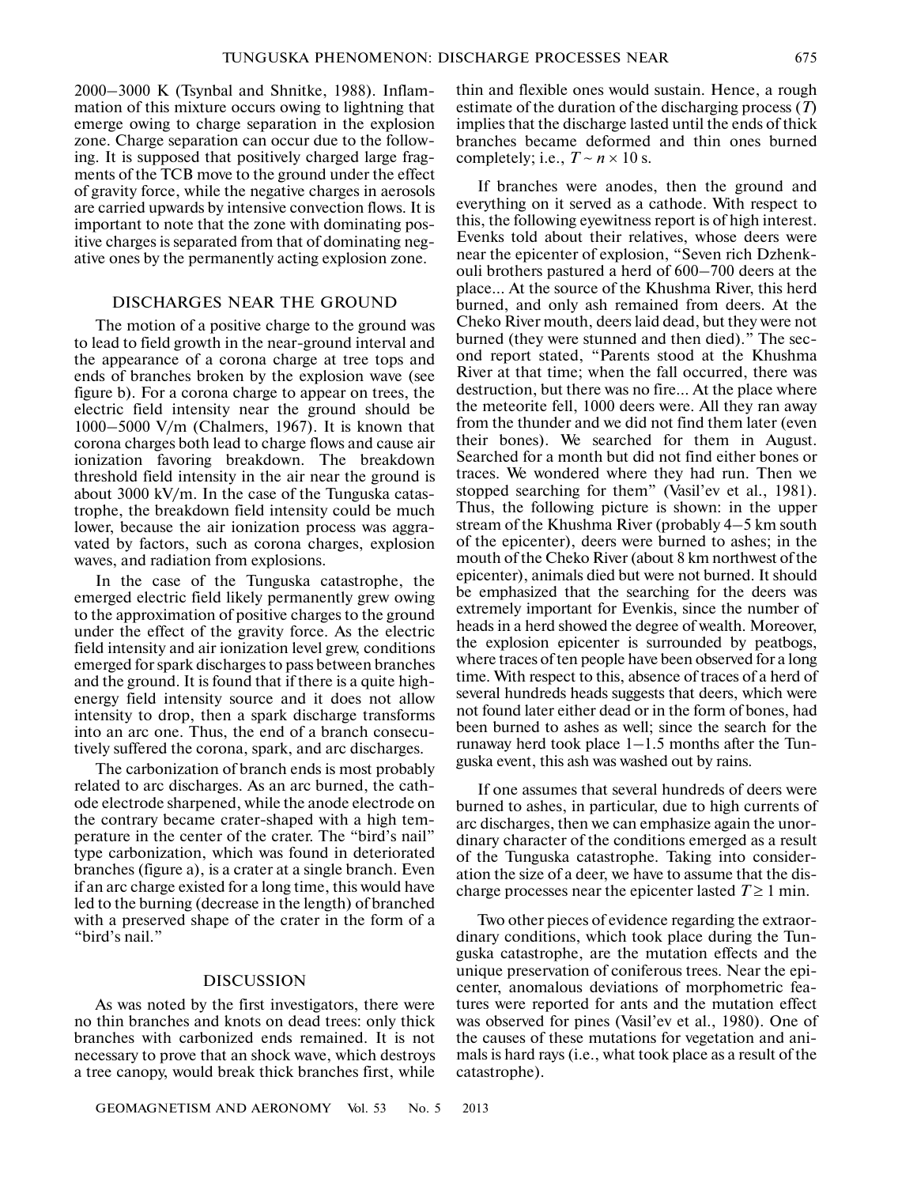2000–3000 K (Tsynbal and Shnitke, 1988). Inflam mation of this mixture occurs owing to lightning that emerge owing to charge separation in the explosion zone. Charge separation can occur due to the follow ing. It is supposed that positively charged large frag ments of the TCB move to the ground under the effect of gravity force, while the negative charges in aerosols are carried upwards by intensive convection flows. It is important to note that the zone with dominating pos itive charges is separated from that of dominating neg ative ones by the permanently acting explosion zone.

# DISCHARGES NEAR THE GROUND

The motion of a positive charge to the ground was to lead to field growth in the near-ground interval and the appearance of a corona charge at tree tops and ends of branches broken by the explosion wave (see figure b). For a corona charge to appear on trees, the electric field intensity near the ground should be 1000–5000 V/m (Chalmers, 1967). It is known that corona charges both lead to charge flows and cause air ionization favoring breakdown. The breakdown threshold field intensity in the air near the ground is about 3000 kV/m. In the case of the Tunguska catas trophe, the breakdown field intensity could be much lower, because the air ionization process was aggra vated by factors, such as corona charges, explosion waves, and radiation from explosions.

In the case of the Tunguska catastrophe, the emerged electric field likely permanently grew owing to the approximation of positive charges to the ground under the effect of the gravity force. As the electric field intensity and air ionization level grew, conditions emerged for spark discharges to pass between branches and the ground. It is found that if there is a quite high energy field intensity source and it does not allow intensity to drop, then a spark discharge transforms into an arc one. Thus, the end of a branch consecu tively suffered the corona, spark, and arc discharges.

The carbonization of branch ends is most probably related to arc discharges. As an arc burned, the cath ode electrode sharpened, while the anode electrode on the contrary became crater-shaped with a high tem perature in the center of the crater. The "bird's nail" type carbonization, which was found in deteriorated branches (figure a), is a crater at a single branch. Even if an arc charge existed for a long time, this would have led to the burning (decrease in the length) of branched with a preserved shape of the crater in the form of a "bird's nail."

## DISCUSSION

As was noted by the first investigators, there were no thin branches and knots on dead trees: only thick branches with carbonized ends remained. It is not necessary to prove that an shock wave, which destroys a tree canopy, would break thick branches first, while

GEOMAGNETISM AND AERONOMY Vol. 53 No. 5 2013

thin and flexible ones would sustain. Hence, a rough estimate of the duration of the discharging process (*T*) implies that the discharge lasted until the ends of thick branches became deformed and thin ones burned completely; i.e.,  $T \sim n \times 10$  s.

If branches were anodes, then the ground and everything on it served as a cathode. With respect to this, the following eyewitness report is of high interest. Evenks told about their relatives, whose deers were near the epicenter of explosion, "Seven rich Dzhenk ouli brothers pastured a herd of 600–700 deers at the place… At the source of the Khushma River, this herd burned, and only ash remained from deers. At the Cheko River mouth, deers laid dead, but they were not burned (they were stunned and then died)." The sec ond report stated, "Parents stood at the Khushma River at that time; when the fall occurred, there was destruction, but there was no fire… At the place where the meteorite fell, 1000 deers were. All they ran away from the thunder and we did not find them later (even their bones). We searched for them in August. Searched for a month but did not find either bones or traces. We wondered where they had run. Then we stopped searching for them" (Vasil'ev et al., 1981). Thus, the following picture is shown: in the upper stream of the Khushma River (probably 4–5 km south of the epicenter), deers were burned to ashes; in the mouth of the Cheko River (about 8 km northwest of the epicenter), animals died but were not burned. It should be emphasized that the searching for the deers was extremely important for Evenkis, since the number of heads in a herd showed the degree of wealth. Moreover, the explosion epicenter is surrounded by peatbogs, where traces of ten people have been observed for a long time. With respect to this, absence of traces of a herd of several hundreds heads suggests that deers, which were not found later either dead or in the form of bones, had been burned to ashes as well; since the search for the runaway herd took place 1–1.5 months after the Tun guska event, this ash was washed out by rains.

If one assumes that several hundreds of deers were burned to ashes, in particular, due to high currents of arc discharges, then we can emphasize again the unor dinary character of the conditions emerged as a result of the Tunguska catastrophe. Taking into consider ation the size of a deer, we have to assume that the dis charge processes near the epicenter lasted  $T \ge 1$  min.

Two other pieces of evidence regarding the extraor dinary conditions, which took place during the Tun guska catastrophe, are the mutation effects and the unique preservation of coniferous trees. Near the epi center, anomalous deviations of morphometric fea tures were reported for ants and the mutation effect was observed for pines (Vasil'ev et al., 1980). One of the causes of these mutations for vegetation and ani mals is hard rays (i.e., what took place as a result of the catastrophe).